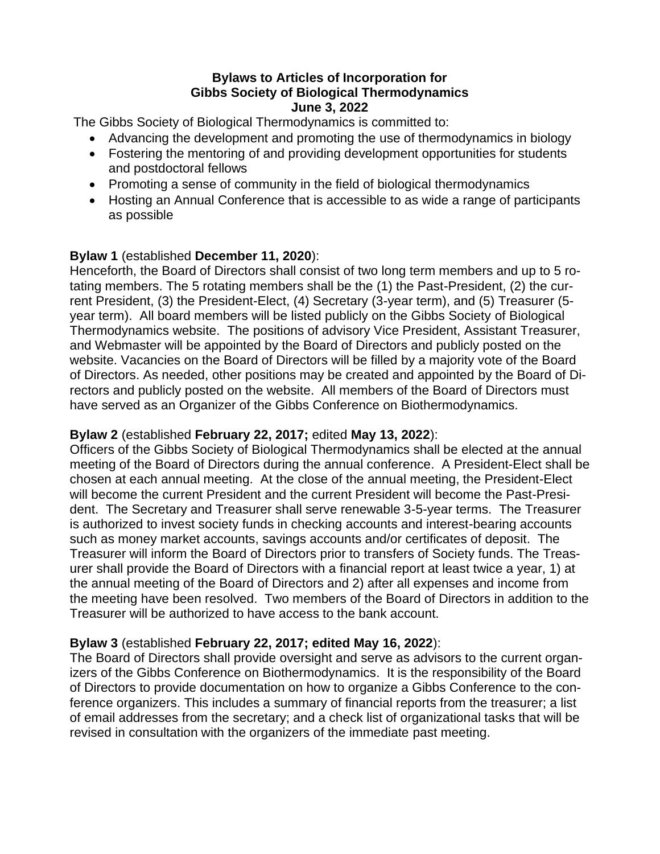## **Bylaws to Articles of Incorporation for Gibbs Society of Biological Thermodynamics June 3, 2022**

The Gibbs Society of Biological Thermodynamics is committed to:

- Advancing the development and promoting the use of thermodynamics in biology
- Fostering the mentoring of and providing development opportunities for students and postdoctoral fellows
- Promoting a sense of community in the field of biological thermodynamics
- Hosting an Annual Conference that is accessible to as wide a range of participants as possible

# **Bylaw 1** (established **December 11, 2020**):

Henceforth, the Board of Directors shall consist of two long term members and up to 5 rotating members. The 5 rotating members shall be the (1) the Past-President, (2) the current President, (3) the President-Elect, (4) Secretary (3-year term), and (5) Treasurer (5 year term). All board members will be listed publicly on the Gibbs Society of Biological Thermodynamics website. The positions of advisory Vice President, Assistant Treasurer, and Webmaster will be appointed by the Board of Directors and publicly posted on the website. Vacancies on the Board of Directors will be filled by a majority vote of the Board of Directors. As needed, other positions may be created and appointed by the Board of Directors and publicly posted on the website. All members of the Board of Directors must have served as an Organizer of the Gibbs Conference on Biothermodynamics.

# **Bylaw 2** (established **February 22, 2017;** edited **May 13, 2022**):

Officers of the Gibbs Society of Biological Thermodynamics shall be elected at the annual meeting of the Board of Directors during the annual conference. A President-Elect shall be chosen at each annual meeting. At the close of the annual meeting, the President-Elect will become the current President and the current President will become the Past-President. The Secretary and Treasurer shall serve renewable 3-5-year terms. The Treasurer is authorized to invest society funds in checking accounts and interest-bearing accounts such as money market accounts, savings accounts and/or certificates of deposit. The Treasurer will inform the Board of Directors prior to transfers of Society funds. The Treasurer shall provide the Board of Directors with a financial report at least twice a year, 1) at the annual meeting of the Board of Directors and 2) after all expenses and income from the meeting have been resolved. Two members of the Board of Directors in addition to the Treasurer will be authorized to have access to the bank account.

# **Bylaw 3** (established **February 22, 2017; edited May 16, 2022**):

The Board of Directors shall provide oversight and serve as advisors to the current organizers of the Gibbs Conference on Biothermodynamics. It is the responsibility of the Board of Directors to provide documentation on how to organize a Gibbs Conference to the conference organizers. This includes a summary of financial reports from the treasurer; a list of email addresses from the secretary; and a check list of organizational tasks that will be revised in consultation with the organizers of the immediate past meeting.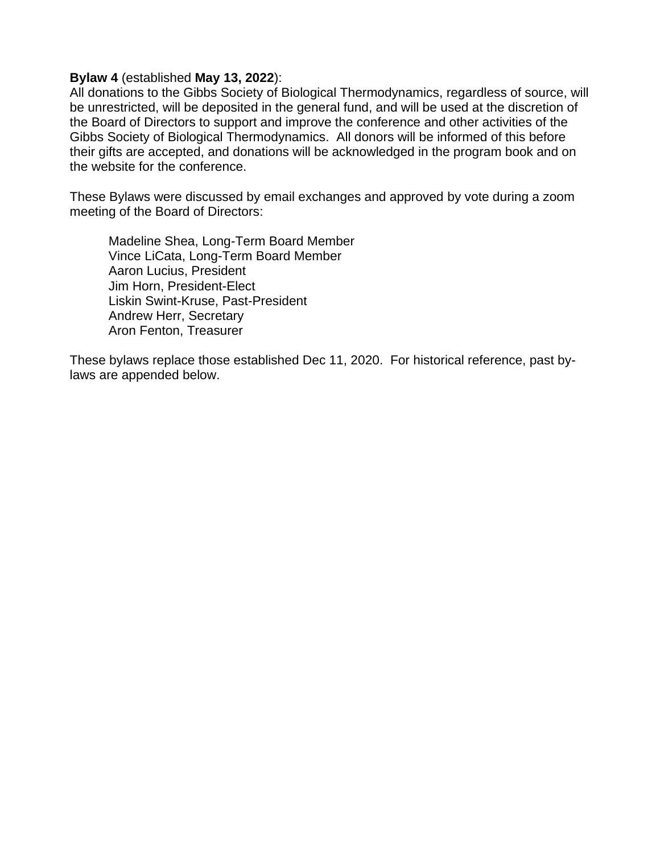#### **Bylaw 4** (established **May 13, 2022**):

All donations to the Gibbs Society of Biological Thermodynamics, regardless of source, will be unrestricted, will be deposited in the general fund, and will be used at the discretion of the Board of Directors to support and improve the conference and other activities of the Gibbs Society of Biological Thermodynamics. All donors will be informed of this before their gifts are accepted, and donations will be acknowledged in the program book and on the website for the conference.

These Bylaws were discussed by email exchanges and approved by vote during a zoom meeting of the Board of Directors:

Madeline Shea, Long-Term Board Member Vince LiCata, Long-Term Board Member Aaron Lucius, President Jim Horn, President-Elect Liskin Swint-Kruse, Past-President Andrew Herr, Secretary Aron Fenton, Treasurer

These bylaws replace those established Dec 11, 2020. For historical reference, past bylaws are appended below.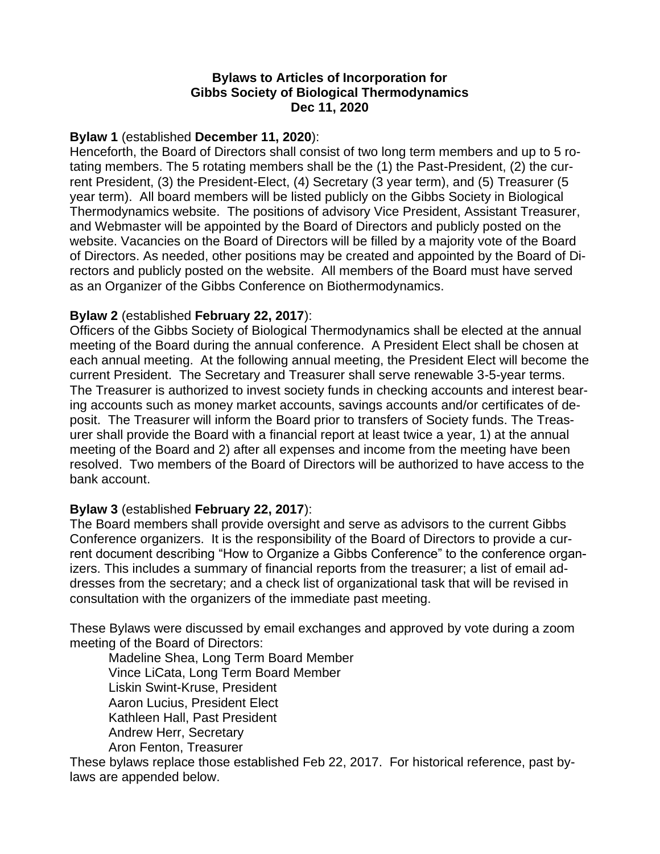## **Bylaws to Articles of Incorporation for Gibbs Society of Biological Thermodynamics Dec 11, 2020**

### **Bylaw 1** (established **December 11, 2020**):

Henceforth, the Board of Directors shall consist of two long term members and up to 5 rotating members. The 5 rotating members shall be the (1) the Past-President, (2) the current President, (3) the President-Elect, (4) Secretary (3 year term), and (5) Treasurer (5 year term). All board members will be listed publicly on the Gibbs Society in Biological Thermodynamics website. The positions of advisory Vice President, Assistant Treasurer, and Webmaster will be appointed by the Board of Directors and publicly posted on the website. Vacancies on the Board of Directors will be filled by a majority vote of the Board of Directors. As needed, other positions may be created and appointed by the Board of Directors and publicly posted on the website. All members of the Board must have served as an Organizer of the Gibbs Conference on Biothermodynamics.

#### **Bylaw 2** (established **February 22, 2017**):

Officers of the Gibbs Society of Biological Thermodynamics shall be elected at the annual meeting of the Board during the annual conference. A President Elect shall be chosen at each annual meeting. At the following annual meeting, the President Elect will become the current President. The Secretary and Treasurer shall serve renewable 3-5-year terms. The Treasurer is authorized to invest society funds in checking accounts and interest bearing accounts such as money market accounts, savings accounts and/or certificates of deposit. The Treasurer will inform the Board prior to transfers of Society funds. The Treasurer shall provide the Board with a financial report at least twice a year, 1) at the annual meeting of the Board and 2) after all expenses and income from the meeting have been resolved. Two members of the Board of Directors will be authorized to have access to the bank account.

### **Bylaw 3** (established **February 22, 2017**):

The Board members shall provide oversight and serve as advisors to the current Gibbs Conference organizers. It is the responsibility of the Board of Directors to provide a current document describing "How to Organize a Gibbs Conference" to the conference organizers. This includes a summary of financial reports from the treasurer; a list of email addresses from the secretary; and a check list of organizational task that will be revised in consultation with the organizers of the immediate past meeting.

These Bylaws were discussed by email exchanges and approved by vote during a zoom meeting of the Board of Directors:

Madeline Shea, Long Term Board Member Vince LiCata, Long Term Board Member Liskin Swint-Kruse, President Aaron Lucius, President Elect Kathleen Hall, Past President Andrew Herr, Secretary Aron Fenton, Treasurer

These bylaws replace those established Feb 22, 2017. For historical reference, past bylaws are appended below.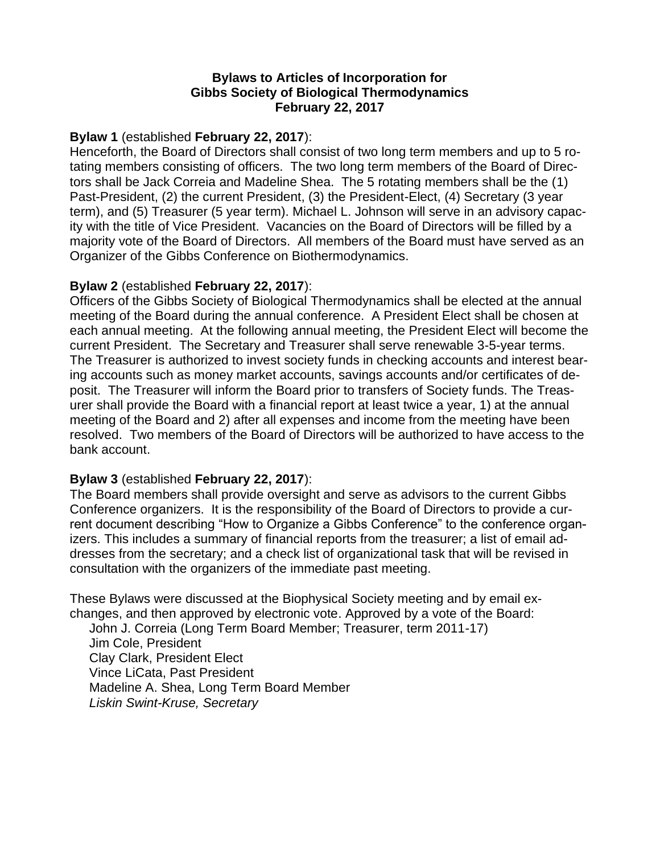### **Bylaws to Articles of Incorporation for Gibbs Society of Biological Thermodynamics February 22, 2017**

### **Bylaw 1** (established **February 22, 2017**):

Henceforth, the Board of Directors shall consist of two long term members and up to 5 rotating members consisting of officers. The two long term members of the Board of Directors shall be Jack Correia and Madeline Shea. The 5 rotating members shall be the (1) Past-President, (2) the current President, (3) the President-Elect, (4) Secretary (3 year term), and (5) Treasurer (5 year term). Michael L. Johnson will serve in an advisory capacity with the title of Vice President. Vacancies on the Board of Directors will be filled by a majority vote of the Board of Directors. All members of the Board must have served as an Organizer of the Gibbs Conference on Biothermodynamics.

### **Bylaw 2** (established **February 22, 2017**):

Officers of the Gibbs Society of Biological Thermodynamics shall be elected at the annual meeting of the Board during the annual conference. A President Elect shall be chosen at each annual meeting. At the following annual meeting, the President Elect will become the current President. The Secretary and Treasurer shall serve renewable 3-5-year terms. The Treasurer is authorized to invest society funds in checking accounts and interest bearing accounts such as money market accounts, savings accounts and/or certificates of deposit. The Treasurer will inform the Board prior to transfers of Society funds. The Treasurer shall provide the Board with a financial report at least twice a year, 1) at the annual meeting of the Board and 2) after all expenses and income from the meeting have been resolved. Two members of the Board of Directors will be authorized to have access to the bank account.

## **Bylaw 3** (established **February 22, 2017**):

The Board members shall provide oversight and serve as advisors to the current Gibbs Conference organizers. It is the responsibility of the Board of Directors to provide a current document describing "How to Organize a Gibbs Conference" to the conference organizers. This includes a summary of financial reports from the treasurer; a list of email addresses from the secretary; and a check list of organizational task that will be revised in consultation with the organizers of the immediate past meeting.

These Bylaws were discussed at the Biophysical Society meeting and by email exchanges, and then approved by electronic vote. Approved by a vote of the Board: John J. Correia (Long Term Board Member; Treasurer, term 2011-17) Jim Cole, President Clay Clark, President Elect Vince LiCata, Past President Madeline A. Shea, Long Term Board Member *Liskin Swint-Kruse, Secretary*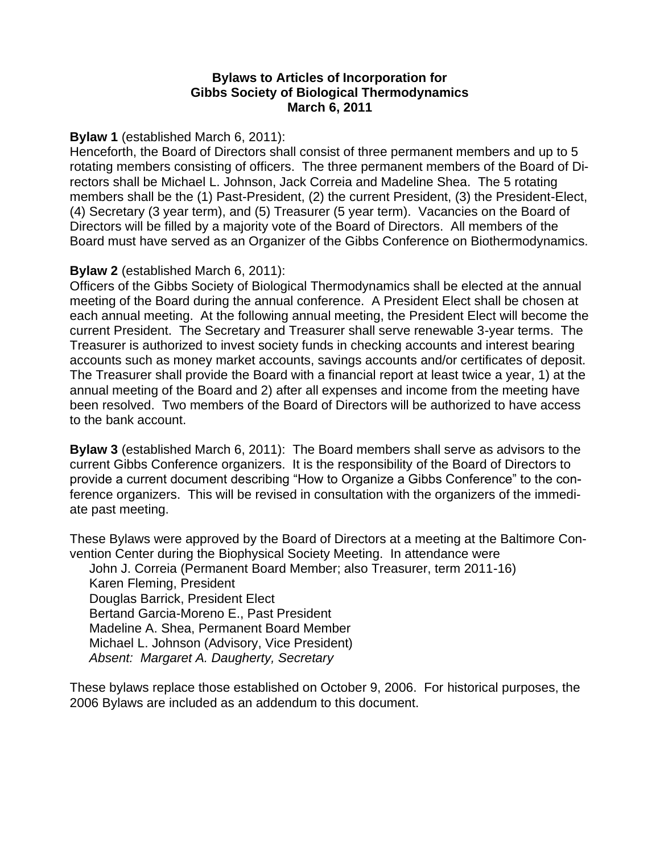### **Bylaws to Articles of Incorporation for Gibbs Society of Biological Thermodynamics March 6, 2011**

### **Bylaw 1** (established March 6, 2011):

Henceforth, the Board of Directors shall consist of three permanent members and up to 5 rotating members consisting of officers. The three permanent members of the Board of Directors shall be Michael L. Johnson, Jack Correia and Madeline Shea. The 5 rotating members shall be the (1) Past-President, (2) the current President, (3) the President-Elect, (4) Secretary (3 year term), and (5) Treasurer (5 year term). Vacancies on the Board of Directors will be filled by a majority vote of the Board of Directors. All members of the Board must have served as an Organizer of the Gibbs Conference on Biothermodynamics.

#### **Bylaw 2** (established March 6, 2011):

Officers of the Gibbs Society of Biological Thermodynamics shall be elected at the annual meeting of the Board during the annual conference. A President Elect shall be chosen at each annual meeting. At the following annual meeting, the President Elect will become the current President. The Secretary and Treasurer shall serve renewable 3-year terms. The Treasurer is authorized to invest society funds in checking accounts and interest bearing accounts such as money market accounts, savings accounts and/or certificates of deposit. The Treasurer shall provide the Board with a financial report at least twice a year, 1) at the annual meeting of the Board and 2) after all expenses and income from the meeting have been resolved. Two members of the Board of Directors will be authorized to have access to the bank account.

**Bylaw 3** (established March 6, 2011): The Board members shall serve as advisors to the current Gibbs Conference organizers. It is the responsibility of the Board of Directors to provide a current document describing "How to Organize a Gibbs Conference" to the conference organizers. This will be revised in consultation with the organizers of the immediate past meeting.

These Bylaws were approved by the Board of Directors at a meeting at the Baltimore Convention Center during the Biophysical Society Meeting. In attendance were

John J. Correia (Permanent Board Member; also Treasurer, term 2011-16) Karen Fleming, President Douglas Barrick, President Elect Bertand Garcia-Moreno E., Past President Madeline A. Shea, Permanent Board Member Michael L. Johnson (Advisory, Vice President) *Absent: Margaret A. Daugherty, Secretary*

These bylaws replace those established on October 9, 2006. For historical purposes, the 2006 Bylaws are included as an addendum to this document.